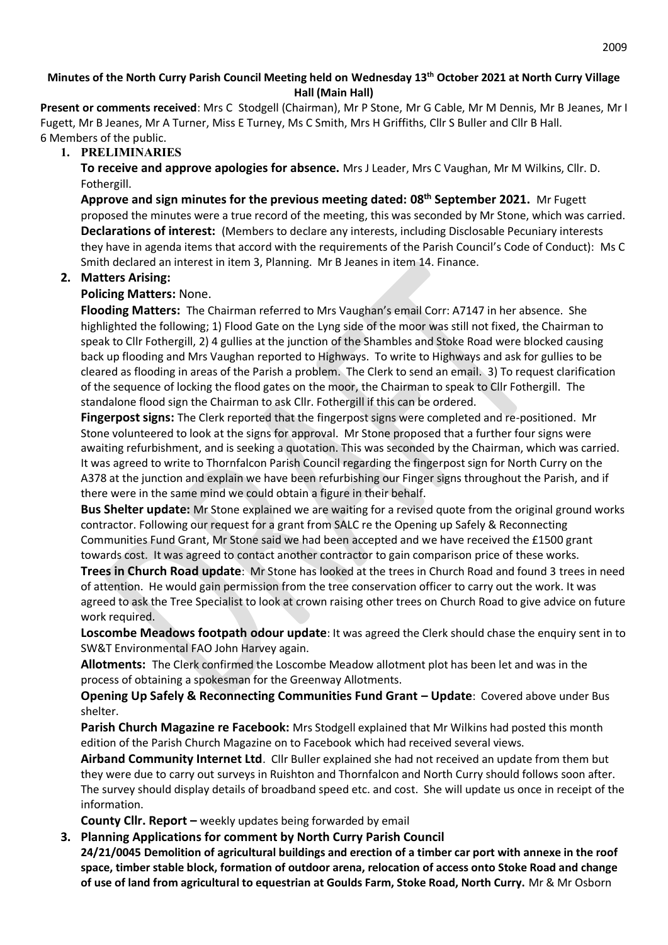### **Minutes of the North Curry Parish Council Meeting held on Wednesday 13th October 2021 at North Curry Village Hall (Main Hall)**

**Present or comments received**: Mrs C Stodgell (Chairman), Mr P Stone, Mr G Cable, Mr M Dennis, Mr B Jeanes, Mr I Fugett, Mr B Jeanes, Mr A Turner, Miss E Turney, Ms C Smith, Mrs H Griffiths, Cllr S Buller and Cllr B Hall. 6 Members of the public.

## **1. PRELIMINARIES**

**To receive and approve apologies for absence.** Mrs J Leader, Mrs C Vaughan, Mr M Wilkins, Cllr. D. Fothergill.

**Approve and sign minutes for the previous meeting dated: 08th September 2021.** Mr Fugett proposed the minutes were a true record of the meeting, this was seconded by Mr Stone, which was carried. **Declarations of interest:** (Members to declare any interests, including Disclosable Pecuniary interests they have in agenda items that accord with the requirements of the Parish Council's Code of Conduct): Ms C Smith declared an interest in item 3, Planning. Mr B Jeanes in item 14. Finance.

## **2. Matters Arising:**

#### **Policing Matters:** None.

**Flooding Matters:** The Chairman referred to Mrs Vaughan's email Corr: A7147 in her absence. She highlighted the following; 1) Flood Gate on the Lyng side of the moor was still not fixed, the Chairman to speak to Cllr Fothergill, 2) 4 gullies at the junction of the Shambles and Stoke Road were blocked causing back up flooding and Mrs Vaughan reported to Highways. To write to Highways and ask for gullies to be cleared as flooding in areas of the Parish a problem. The Clerk to send an email. 3) To request clarification of the sequence of locking the flood gates on the moor, the Chairman to speak to Cllr Fothergill. The standalone flood sign the Chairman to ask Cllr. Fothergill if this can be ordered.

**Fingerpost signs:** The Clerk reported that the fingerpost signs were completed and re-positioned. Mr Stone volunteered to look at the signs for approval. Mr Stone proposed that a further four signs were awaiting refurbishment, and is seeking a quotation. This was seconded by the Chairman, which was carried. It was agreed to write to Thornfalcon Parish Council regarding the fingerpost sign for North Curry on the A378 at the junction and explain we have been refurbishing our Finger signs throughout the Parish, and if there were in the same mind we could obtain a figure in their behalf.

**Bus Shelter update:** Mr Stone explained we are waiting for a revised quote from the original ground works contractor. Following our request for a grant from SALC re the Opening up Safely & Reconnecting Communities Fund Grant, Mr Stone said we had been accepted and we have received the £1500 grant towards cost. It was agreed to contact another contractor to gain comparison price of these works.

**Trees in Church Road update**: Mr Stone has looked at the trees in Church Road and found 3 trees in need of attention. He would gain permission from the tree conservation officer to carry out the work. It was agreed to ask the Tree Specialist to look at crown raising other trees on Church Road to give advice on future work required.

**Loscombe Meadows footpath odour update**: It was agreed the Clerk should chase the enquiry sent in to SW&T Environmental FAO John Harvey again.

**Allotments:** The Clerk confirmed the Loscombe Meadow allotment plot has been let and was in the process of obtaining a spokesman for the Greenway Allotments.

**Opening Up Safely & Reconnecting Communities Fund Grant – Update**: Covered above under Bus shelter.

**Parish Church Magazine re Facebook:** Mrs Stodgell explained that Mr Wilkins had posted this month edition of the Parish Church Magazine on to Facebook which had received several views.

**Airband Community Internet Ltd**. Cllr Buller explained she had not received an update from them but they were due to carry out surveys in Ruishton and Thornfalcon and North Curry should follows soon after. The survey should display details of broadband speed etc. and cost. She will update us once in receipt of the information.

**County Cllr. Report –** weekly updates being forwarded by email

**3. Planning Applications for comment by North Curry Parish Council**

**24/21/0045 Demolition of agricultural buildings and erection of a timber car port with annexe in the roof space, timber stable block, formation of outdoor arena, relocation of access onto Stoke Road and change of use of land from agricultural to equestrian at Goulds Farm, Stoke Road, North Curry.** Mr & Mr Osborn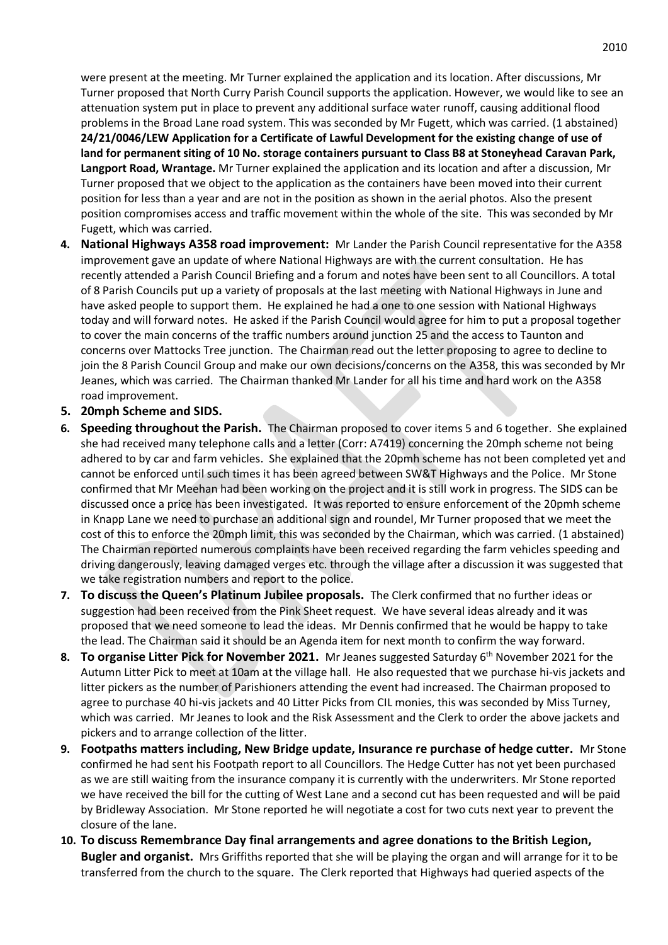were present at the meeting. Mr Turner explained the application and its location. After discussions, Mr Turner proposed that North Curry Parish Council supports the application. However, we would like to see an attenuation system put in place to prevent any additional surface water runoff, causing additional flood problems in the Broad Lane road system. This was seconded by Mr Fugett, which was carried. (1 abstained) **24/21/0046/LEW Application for a Certificate of Lawful Development for the existing change of use of land for permanent siting of 10 No. storage containers pursuant to Class B8 at Stoneyhead Caravan Park, Langport Road, Wrantage.** Mr Turner explained the application and its location and after a discussion, Mr Turner proposed that we object to the application as the containers have been moved into their current position for less than a year and are not in the position as shown in the aerial photos. Also the present position compromises access and traffic movement within the whole of the site. This was seconded by Mr Fugett, which was carried.

- **4. National Highways A358 road improvement:** Mr Lander the Parish Council representative for the A358 improvement gave an update of where National Highways are with the current consultation. He has recently attended a Parish Council Briefing and a forum and notes have been sent to all Councillors. A total of 8 Parish Councils put up a variety of proposals at the last meeting with National Highways in June and have asked people to support them. He explained he had a one to one session with National Highways today and will forward notes. He asked if the Parish Council would agree for him to put a proposal together to cover the main concerns of the traffic numbers around junction 25 and the access to Taunton and concerns over Mattocks Tree junction. The Chairman read out the letter proposing to agree to decline to join the 8 Parish Council Group and make our own decisions/concerns on the A358, this was seconded by Mr Jeanes, which was carried. The Chairman thanked Mr Lander for all his time and hard work on the A358 road improvement.
- **5. 20mph Scheme and SIDS.**
- **6. Speeding throughout the Parish.** The Chairman proposed to cover items 5 and 6 together. She explained she had received many telephone calls and a letter (Corr: A7419) concerning the 20mph scheme not being adhered to by car and farm vehicles. She explained that the 20pmh scheme has not been completed yet and cannot be enforced until such times it has been agreed between SW&T Highways and the Police. Mr Stone confirmed that Mr Meehan had been working on the project and it is still work in progress. The SIDS can be discussed once a price has been investigated. It was reported to ensure enforcement of the 20pmh scheme in Knapp Lane we need to purchase an additional sign and roundel, Mr Turner proposed that we meet the cost of this to enforce the 20mph limit, this was seconded by the Chairman, which was carried. (1 abstained) The Chairman reported numerous complaints have been received regarding the farm vehicles speeding and driving dangerously, leaving damaged verges etc. through the village after a discussion it was suggested that we take registration numbers and report to the police.
- **7. To discuss the Queen's Platinum Jubilee proposals.** The Clerk confirmed that no further ideas or suggestion had been received from the Pink Sheet request. We have several ideas already and it was proposed that we need someone to lead the ideas. Mr Dennis confirmed that he would be happy to take the lead. The Chairman said it should be an Agenda item for next month to confirm the way forward.
- **8. To organise Litter Pick for November 2021.** Mr Jeanes suggested Saturday 6th November 2021 for the Autumn Litter Pick to meet at 10am at the village hall. He also requested that we purchase hi-vis jackets and litter pickers as the number of Parishioners attending the event had increased. The Chairman proposed to agree to purchase 40 hi-vis jackets and 40 Litter Picks from CIL monies, this was seconded by Miss Turney, which was carried. Mr Jeanes to look and the Risk Assessment and the Clerk to order the above jackets and pickers and to arrange collection of the litter.
- **9. Footpaths matters including, New Bridge update, Insurance re purchase of hedge cutter.** Mr Stone confirmed he had sent his Footpath report to all Councillors. The Hedge Cutter has not yet been purchased as we are still waiting from the insurance company it is currently with the underwriters. Mr Stone reported we have received the bill for the cutting of West Lane and a second cut has been requested and will be paid by Bridleway Association. Mr Stone reported he will negotiate a cost for two cuts next year to prevent the closure of the lane.
- **10. To discuss Remembrance Day final arrangements and agree donations to the British Legion, Bugler and organist.** Mrs Griffiths reported that she will be playing the organ and will arrange for it to be transferred from the church to the square. The Clerk reported that Highways had queried aspects of the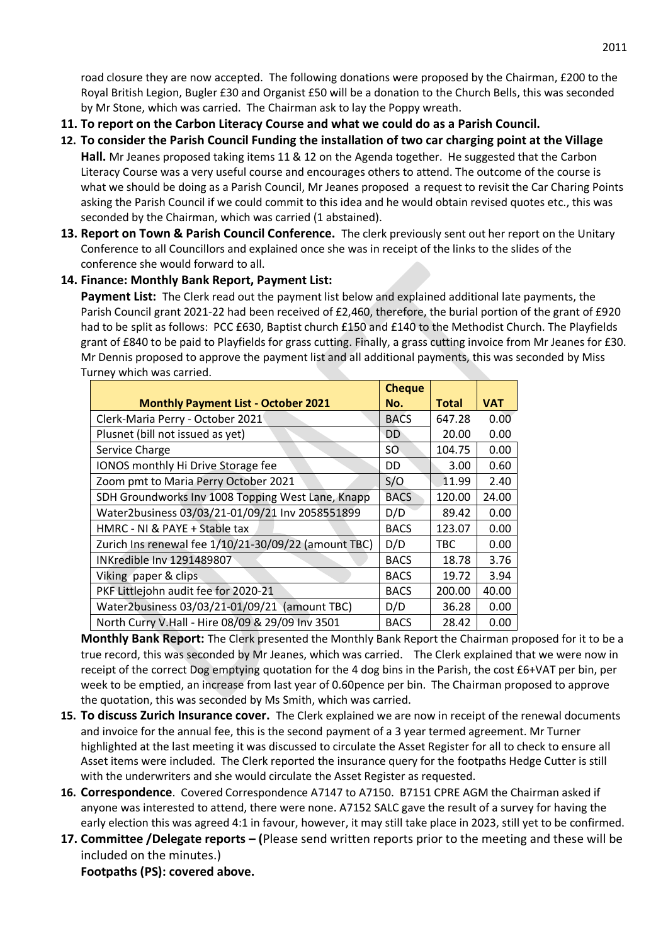road closure they are now accepted. The following donations were proposed by the Chairman, £200 to the Royal British Legion, Bugler £30 and Organist £50 will be a donation to the Church Bells, this was seconded by Mr Stone, which was carried. The Chairman ask to lay the Poppy wreath.

- **11. To report on the Carbon Literacy Course and what we could do as a Parish Council.**
- **12. To consider the Parish Council Funding the installation of two car charging point at the Village Hall.** Mr Jeanes proposed taking items 11 & 12 on the Agenda together. He suggested that the Carbon Literacy Course was a very useful course and encourages others to attend. The outcome of the course is what we should be doing as a Parish Council, Mr Jeanes proposed a request to revisit the Car Charing Points asking the Parish Council if we could commit to this idea and he would obtain revised quotes etc., this was seconded by the Chairman, which was carried (1 abstained).
- **13. Report on Town & Parish Council Conference.** The clerk previously sent out her report on the Unitary Conference to all Councillors and explained once she was in receipt of the links to the slides of the conference she would forward to all.

#### **14. Finance: Monthly Bank Report, Payment List:**

**Payment List:** The Clerk read out the payment list below and explained additional late payments, the Parish Council grant 2021-22 had been received of £2,460, therefore, the burial portion of the grant of £920 had to be split as follows: PCC £630, Baptist church £150 and £140 to the Methodist Church. The Playfields grant of £840 to be paid to Playfields for grass cutting. Finally, a grass cutting invoice from Mr Jeanes for £30. Mr Dennis proposed to approve the payment list and all additional payments, this was seconded by Miss Turney which was carried.

|                                                      | <b>Cheque</b> |              |            |
|------------------------------------------------------|---------------|--------------|------------|
| <b>Monthly Payment List - October 2021</b>           | No.           | <b>Total</b> | <b>VAT</b> |
| Clerk-Maria Perry - October 2021                     | <b>BACS</b>   | 647.28       | 0.00       |
| Plusnet (bill not issued as yet)                     | DD            | 20.00        | 0.00       |
| Service Charge                                       | SO            | 104.75       | 0.00       |
| IONOS monthly Hi Drive Storage fee                   | DD            | 3.00         | 0.60       |
| Zoom pmt to Maria Perry October 2021                 | S/O           | 11.99        | 2.40       |
| SDH Groundworks Inv 1008 Topping West Lane, Knapp    | <b>BACS</b>   | 120.00       | 24.00      |
| Water2business 03/03/21-01/09/21 Inv 2058551899      | D/D           | 89.42        | 0.00       |
| HMRC - NI & PAYE + Stable tax                        | <b>BACS</b>   | 123.07       | 0.00       |
| Zurich Ins renewal fee 1/10/21-30/09/22 (amount TBC) | D/D           | <b>TBC</b>   | 0.00       |
| INKredible Inv 1291489807                            | <b>BACS</b>   | 18.78        | 3.76       |
| Viking paper & clips                                 | <b>BACS</b>   | 19.72        | 3.94       |
| PKF Littlejohn audit fee for 2020-21                 | <b>BACS</b>   | 200.00       | 40.00      |
| Water2business 03/03/21-01/09/21 (amount TBC)        | D/D           | 36.28        | 0.00       |
| North Curry V.Hall - Hire 08/09 & 29/09 Inv 3501     | <b>BACS</b>   | 28.42        | 0.00       |

**Monthly Bank Report:** The Clerk presented the Monthly Bank Report the Chairman proposed for it to be a true record, this was seconded by Mr Jeanes, which was carried. The Clerk explained that we were now in receipt of the correct Dog emptying quotation for the 4 dog bins in the Parish, the cost £6+VAT per bin, per week to be emptied, an increase from last year of 0.60pence per bin. The Chairman proposed to approve the quotation, this was seconded by Ms Smith, which was carried.

- **15. To discuss Zurich Insurance cover.** The Clerk explained we are now in receipt of the renewal documents and invoice for the annual fee, this is the second payment of a 3 year termed agreement. Mr Turner highlighted at the last meeting it was discussed to circulate the Asset Register for all to check to ensure all Asset items were included. The Clerk reported the insurance query for the footpaths Hedge Cutter is still with the underwriters and she would circulate the Asset Register as requested.
- **16. Correspondence**. Covered Correspondence A7147 to A7150. B7151 CPRE AGM the Chairman asked if anyone was interested to attend, there were none. A7152 SALC gave the result of a survey for having the early election this was agreed 4:1 in favour, however, it may still take place in 2023, still yet to be confirmed.
- **17. Committee /Delegate reports – (**Please send written reports prior to the meeting and these will be included on the minutes.) **Footpaths (PS): covered above.**